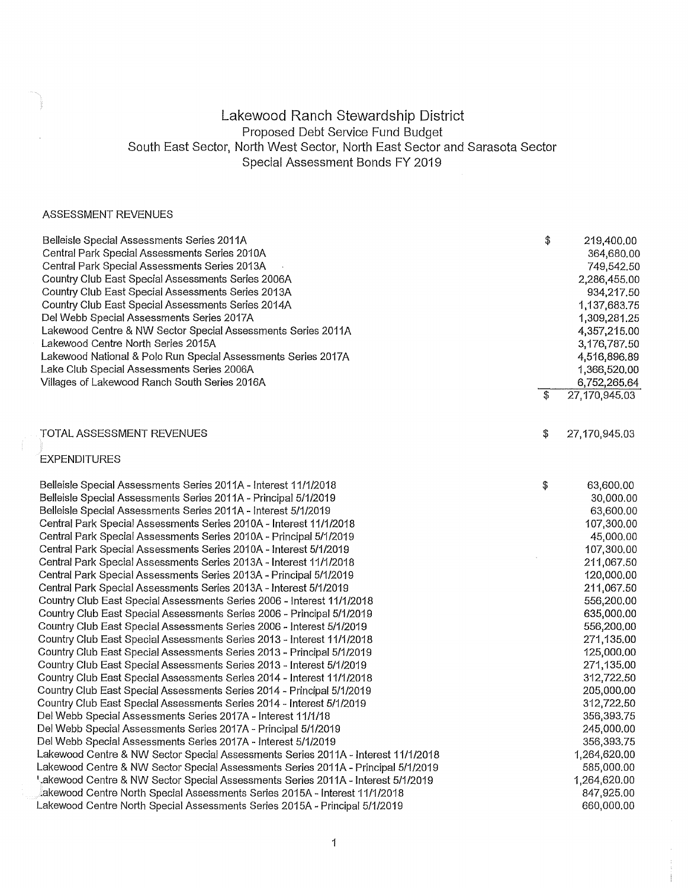## Lakewood Ranch Stewardship District Proposed Debt Service Fund Budget South East Sector, North West Sector, North East Sector and Sarasota Sector Special Assessment Bonds FY 2019

## ASSESSMENT REVENUES

| Belleisle Special Assessments Series 2011A                                        | \$<br>219,400.00    |
|-----------------------------------------------------------------------------------|---------------------|
| Central Park Special Assessments Series 2010A                                     | 364,680.00          |
| Central Park Special Assessments Series 2013A                                     | 749,542.50          |
| Country Club East Special Assessments Series 2006A                                | 2,286,455.00        |
| Country Club East Special Assessments Series 2013A                                | 934,217.50          |
| Country Club East Special Assessments Series 2014A                                | 1,137,683.75        |
| Del Webb Special Assessments Series 2017A                                         | 1,309,281.25        |
| Lakewood Centre & NW Sector Special Assessments Series 2011A                      | 4,357,215,00        |
| Lakewood Centre North Series 2015A                                                | 3,176,787.50        |
| Lakewood National & Polo Run Special Assessments Series 2017A                     | 4,516,896.89        |
| Lake Club Special Assessments Series 2006A                                        | 1,366,520.00        |
| Villages of Lakewood Ranch South Series 2016A                                     | 6,752,265.64        |
|                                                                                   | \$<br>27,170,945.03 |
|                                                                                   |                     |
| TOTAL ASSESSMENT REVENUES                                                         | \$<br>27,170,945.03 |
| <b>EXPENDITURES</b>                                                               |                     |
| Belleisle Special Assessments Series 2011A - Interest 11/1/2018                   | \$<br>63,600.00     |
| Belleisle Special Assessments Series 2011A - Principal 5/1/2019                   | 30,000.00           |
| Belleisle Special Assessments Series 2011A - Interest 5/1/2019                    | 63,600.00           |
| Central Park Special Assessments Series 2010A - Interest 11/1/2018                | 107,300.00          |
| Central Park Special Assessments Series 2010A - Principal 5/1/2019                | 45,000.00           |
| Central Park Special Assessments Series 2010A - Interest 5/1/2019                 | 107,300.00          |
| Central Park Special Assessments Series 2013A - Interest 11/1/2018                | 211,067.50          |
| Central Park Special Assessments Series 2013A - Principal 5/1/2019                | 120,000.00          |
| Central Park Special Assessments Series 2013A - Interest 5/1/2019                 | 211,067.50          |
| Country Club East Special Assessments Series 2006 - Interest 11/1/2018            | 556,200,00          |
| Country Club East Special Assessments Series 2006 - Principal 5/1/2019            | 635,000.00          |
| Country Club East Special Assessments Series 2006 - Interest 5/1/2019             | 556,200.00          |
| Country Club East Special Assessments Series 2013 - Interest 11/1/2018            | 271,135.00          |
| Country Club East Special Assessments Series 2013 - Principal 5/1/2019            | 125,000.00          |
| Country Club East Special Assessments Series 2013 - Interest 5/1/2019             | 271,135.00          |
| Country Club East Special Assessments Series 2014 - Interest 11/1/2018            | 312,722.50          |
| Country Club East Special Assessments Series 2014 - Principal 5/1/2019            | 205,000.00          |
| Country Club East Special Assessments Series 2014 - Interest 5/1/2019             | 312,722.50          |
| Del Webb Special Assessments Series 2017A - Interest 11/1/18                      | 356,393.75          |
| Del Webb Special Assessments Series 2017A - Principal 5/1/2019                    | 245,000.00          |
| Del Webb Special Assessments Series 2017A - Interest 5/1/2019                     | 356,393.75          |
| Lakewood Centre & NW Sector Special Assessments Series 2011A - Interest 11/1/2018 | 1,264,620.00        |
| Lakewood Centre & NW Sector Special Assessments Series 2011A - Principal 5/1/2019 | 585,000.00          |
| ',akewood Centre & NW Sector Special Assessments Series 2011A - Interest 5/1/2019 | 1,264,620.00        |
| akewood Centre North Special Assessments Series 2015A - Interest 11/1/2018        | 847,925.00          |
| Lakewood Centre North Special Assessments Series 2015A - Principal 5/1/2019       | 660,000.00          |